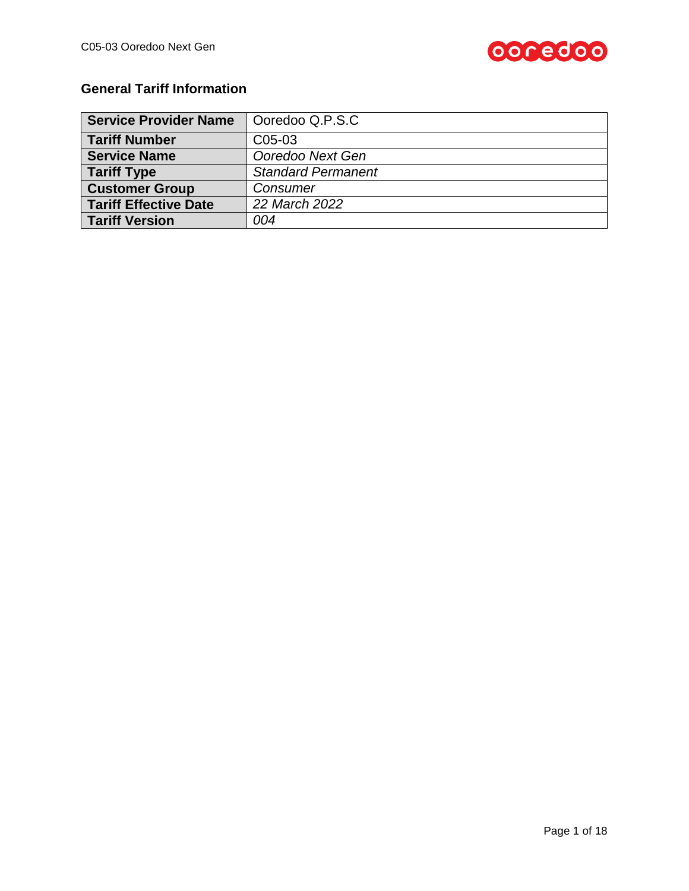

# **General Tariff Information**

| <b>Service Provider Name</b> | Ooredoo Q.P.S.C           |
|------------------------------|---------------------------|
| <b>Tariff Number</b>         | C05-03                    |
| <b>Service Name</b>          | Ooredoo Next Gen          |
| <b>Tariff Type</b>           | <b>Standard Permanent</b> |
| <b>Customer Group</b>        | Consumer                  |
| <b>Tariff Effective Date</b> | 22 March 2022             |
| <b>Tariff Version</b>        | 004                       |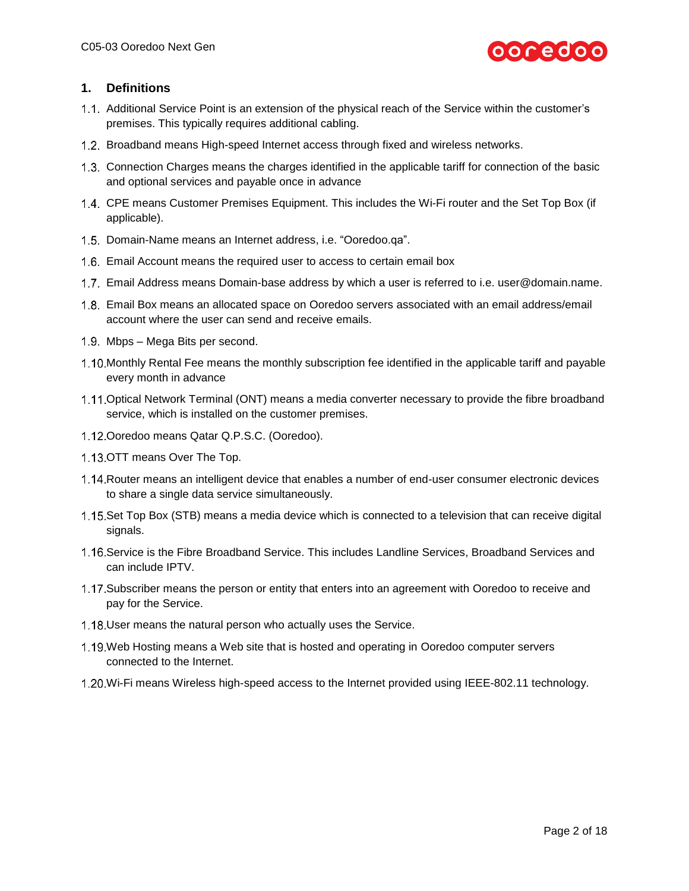

# **1. Definitions**

- Additional Service Point is an extension of the physical reach of the Service within the customer's premises. This typically requires additional cabling.
- 1.2. Broadband means High-speed Internet access through fixed and wireless networks.
- 1.3. Connection Charges means the charges identified in the applicable tariff for connection of the basic and optional services and payable once in advance
- 1.4. CPE means Customer Premises Equipment. This includes the Wi-Fi router and the Set Top Box (if applicable).
- 1.5. Domain-Name means an Internet address, i.e. "Ooredoo.qa".
- Email Account means the required user to access to certain email box
- 1.7. Email Address means Domain-base address by which a user is referred to i.e. [user@domain.name.](mailto:user@domain.name)
- Email Box means an allocated space on Ooredoo servers associated with an email address/email account where the user can send and receive emails.
- 1.9. Mbps Mega Bits per second.
- 1.10. Monthly Rental Fee means the monthly subscription fee identified in the applicable tariff and payable every month in advance
- 1.11 Optical Network Terminal (ONT) means a media converter necessary to provide the fibre broadband service, which is installed on the customer premises.
- 1.12 Ooredoo means Qatar Q.P.S.C. (Ooredoo).
- 1.13.OTT means Over The Top.
- 1.14. Router means an intelligent device that enables a number of end-user consumer electronic devices to share a single data service simultaneously.
- 1.15. Set Top Box (STB) means a media device which is connected to a television that can receive digital signals.
- 1.16. Service is the Fibre Broadband Service. This includes Landline Services, Broadband Services and can include IPTV.
- 1.17. Subscriber means the person or entity that enters into an agreement with Ooredoo to receive and pay for the Service.
- 1.18. User means the natural person who actually uses the Service.
- Web Hosting means a Web site that is hosted and operating in Ooredoo computer servers connected to the Internet.
- 1.20. Wi-Fi means Wireless high-speed access to the Internet provided using IEEE-802.11 technology.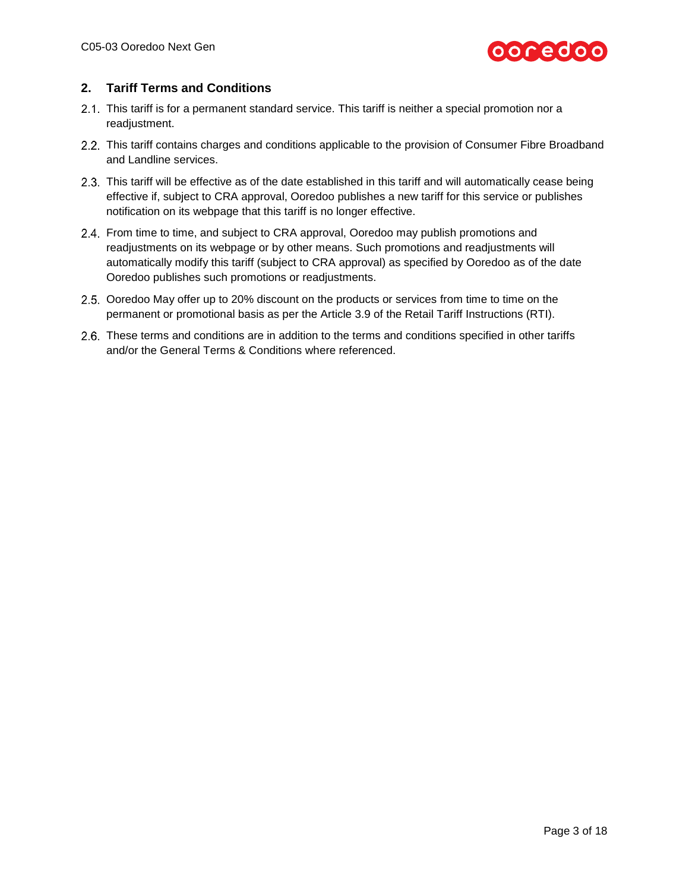

# **2. Tariff Terms and Conditions**

- 2.1. This tariff is for a permanent standard service. This tariff is neither a special promotion nor a readjustment.
- 2.2. This tariff contains charges and conditions applicable to the provision of Consumer Fibre Broadband and Landline services.
- 2.3. This tariff will be effective as of the date established in this tariff and will automatically cease being effective if, subject to CRA approval, Ooredoo publishes a new tariff for this service or publishes notification on its webpage that this tariff is no longer effective.
- 2.4. From time to time, and subject to CRA approval, Ooredoo may publish promotions and readjustments on its webpage or by other means. Such promotions and readjustments will automatically modify this tariff (subject to CRA approval) as specified by Ooredoo as of the date Ooredoo publishes such promotions or readjustments.
- 2.5. Ooredoo May offer up to 20% discount on the products or services from time to time on the permanent or promotional basis as per the Article 3.9 of the Retail Tariff Instructions (RTI).
- 2.6. These terms and conditions are in addition to the terms and conditions specified in other tariffs and/or the General Terms & Conditions where referenced.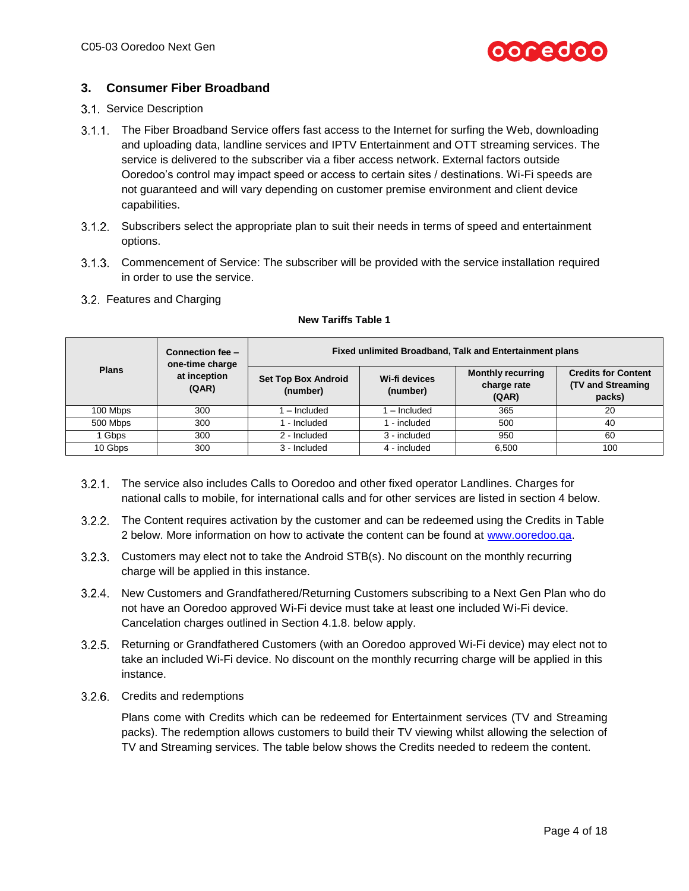

# **3. Consumer Fiber Broadband**

# 3.1. Service Description

- 3.1.1. The Fiber Broadband Service offers fast access to the Internet for surfing the Web, downloading and uploading data, landline services and IPTV Entertainment and OTT streaming services. The service is delivered to the subscriber via a fiber access network. External factors outside Ooredoo's control may impact speed or access to certain sites / destinations. Wi-Fi speeds are not guaranteed and will vary depending on customer premise environment and client device capabilities.
- Subscribers select the appropriate plan to suit their needs in terms of speed and entertainment options.
- Commencement of Service: The subscriber will be provided with the service installation required in order to use the service.

### 3.2. Features and Charging

|              | Connection fee -<br>one-time charge | Fixed unlimited Broadband, Talk and Entertainment plans             |              |                                                  |                                                                  |
|--------------|-------------------------------------|---------------------------------------------------------------------|--------------|--------------------------------------------------|------------------------------------------------------------------|
| <b>Plans</b> | at inception<br>(QAR)               | <b>Set Top Box Android</b><br>Wi-fi devices<br>(number)<br>(number) |              | <b>Monthly recurring</b><br>charge rate<br>(QAR) | <b>Credits for Content</b><br><b>(TV and Streaming</b><br>packs) |
| 100 Mbps     | 300                                 | - Included                                                          | - Included   | 365                                              | 20                                                               |
| 500 Mbps     | 300                                 | - Included                                                          | - included   | 500                                              | 40                                                               |
| Gbps         | 300                                 | 2 - Included                                                        | 3 - included | 950                                              | 60                                                               |
| 10 Gbps      | 300                                 | 3 - Included                                                        | 4 - included | 6,500                                            | 100                                                              |

### **New Tariffs Table 1**

- The service also includes Calls to Ooredoo and other fixed operator Landlines. Charges for national calls to mobile, for international calls and for other services are listed in section 4 below.
- 3.2.2. The Content requires activation by the customer and can be redeemed using the Credits in Table 2 below. More information on how to activate the content can be found at [www.ooredoo.qa.](http://www.ooredoo.qa/)
- 3.2.3. Customers may elect not to take the Android STB(s). No discount on the monthly recurring charge will be applied in this instance.
- 3.2.4. New Customers and Grandfathered/Returning Customers subscribing to a Next Gen Plan who do not have an Ooredoo approved Wi-Fi device must take at least one included Wi-Fi device. Cancelation charges outlined in Section 4.1.8. below apply.
- 3.2.5. Returning or Grandfathered Customers (with an Ooredoo approved Wi-Fi device) may elect not to take an included Wi-Fi device. No discount on the monthly recurring charge will be applied in this instance.
- 3.2.6. Credits and redemptions

Plans come with Credits which can be redeemed for Entertainment services (TV and Streaming packs). The redemption allows customers to build their TV viewing whilst allowing the selection of TV and Streaming services. The table below shows the Credits needed to redeem the content.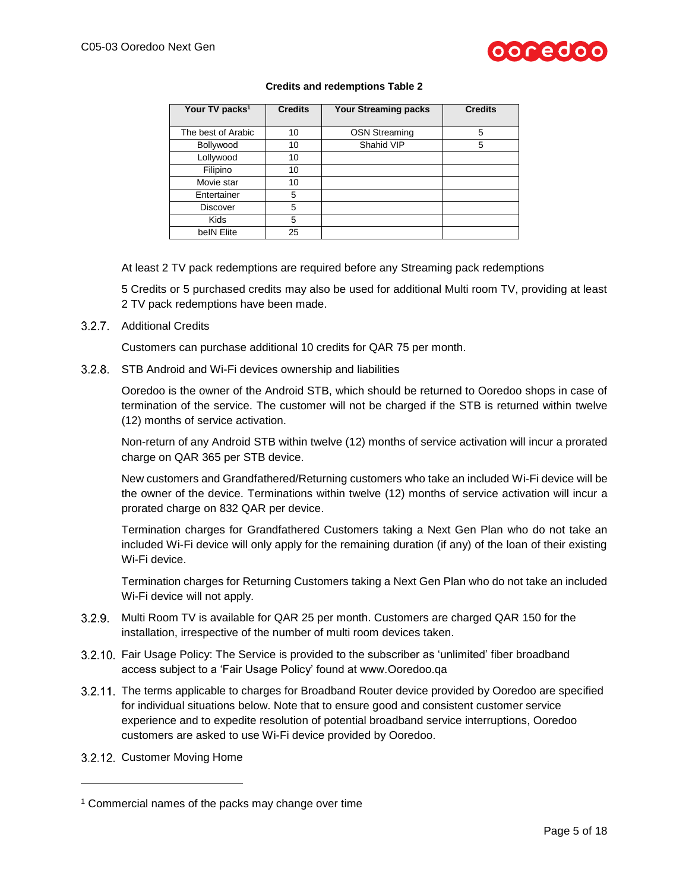

### **Credits and redemptions Table 2**

| Your TV packs <sup>1</sup> | <b>Credits</b> | <b>Your Streaming packs</b> | <b>Credits</b> |
|----------------------------|----------------|-----------------------------|----------------|
| The best of Arabic         | 10             | <b>OSN Streaming</b>        | 5              |
| Bollywood                  | 10             | Shahid VIP                  | 5              |
| Lollywood                  | 10             |                             |                |
| Filipino                   | 10             |                             |                |
| Movie star                 | 10             |                             |                |
| Entertainer                | 5              |                             |                |
| <b>Discover</b>            | 5              |                             |                |
| <b>Kids</b>                | 5              |                             |                |
| beIN Elite                 | 25             |                             |                |

At least 2 TV pack redemptions are required before any Streaming pack redemptions

5 Credits or 5 purchased credits may also be used for additional Multi room TV, providing at least 2 TV pack redemptions have been made.

3.2.7. Additional Credits

Customers can purchase additional 10 credits for QAR 75 per month.

STB Android and Wi-Fi devices ownership and liabilities

Ooredoo is the owner of the Android STB, which should be returned to Ooredoo shops in case of termination of the service. The customer will not be charged if the STB is returned within twelve (12) months of service activation.

Non-return of any Android STB within twelve (12) months of service activation will incur a prorated charge on QAR 365 per STB device.

New customers and Grandfathered/Returning customers who take an included Wi-Fi device will be the owner of the device. Terminations within twelve (12) months of service activation will incur a prorated charge on 832 QAR per device.

Termination charges for Grandfathered Customers taking a Next Gen Plan who do not take an included Wi-Fi device will only apply for the remaining duration (if any) of the loan of their existing Wi-Fi device.

Termination charges for Returning Customers taking a Next Gen Plan who do not take an included Wi-Fi device will not apply.

- 3.2.9. Multi Room TV is available for QAR 25 per month. Customers are charged QAR 150 for the installation, irrespective of the number of multi room devices taken.
- 3.2.10. Fair Usage Policy: The Service is provided to the subscriber as 'unlimited' fiber broadband access subject to a 'Fair Usage Policy' found at www.Ooredoo.qa
- 3.2.11. The terms applicable to charges for Broadband Router device provided by Ooredoo are specified for individual situations below. Note that to ensure good and consistent customer service experience and to expedite resolution of potential broadband service interruptions, Ooredoo customers are asked to use Wi-Fi device provided by Ooredoo.

3.2.12. Customer Moving Home

l

<sup>1</sup> Commercial names of the packs may change over time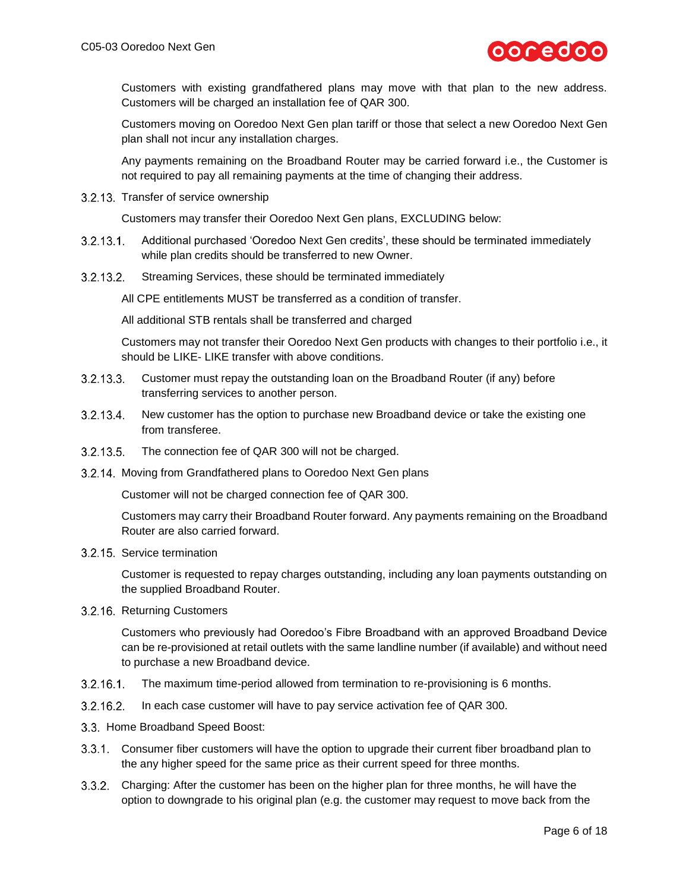

Customers with existing grandfathered plans may move with that plan to the new address. Customers will be charged an installation fee of QAR 300.

Customers moving on Ooredoo Next Gen plan tariff or those that select a new Ooredoo Next Gen plan shall not incur any installation charges.

Any payments remaining on the Broadband Router may be carried forward i.e., the Customer is not required to pay all remaining payments at the time of changing their address.

3.2.13. Transfer of service ownership

Customers may transfer their Ooredoo Next Gen plans, EXCLUDING below:

- $3.2.13.1$ Additional purchased 'Ooredoo Next Gen credits', these should be terminated immediately while plan credits should be transferred to new Owner.
- $3.2.13.2$ Streaming Services, these should be terminated immediately

All CPE entitlements MUST be transferred as a condition of transfer.

All additional STB rentals shall be transferred and charged

Customers may not transfer their Ooredoo Next Gen products with changes to their portfolio i.e., it should be LIKE- LIKE transfer with above conditions.

- $3.2.13.3$ Customer must repay the outstanding loan on the Broadband Router (if any) before transferring services to another person.
- $3.2.13.4$ . New customer has the option to purchase new Broadband device or take the existing one from transferee.
- 3.2.13.5. The connection fee of QAR 300 will not be charged.
- 3.2.14. Moving from Grandfathered plans to Ooredoo Next Gen plans

Customer will not be charged connection fee of QAR 300.

Customers may carry their Broadband Router forward. Any payments remaining on the Broadband Router are also carried forward.

3.2.15. Service termination

Customer is requested to repay charges outstanding, including any loan payments outstanding on the supplied Broadband Router.

3.2.16. Returning Customers

Customers who previously had Ooredoo's Fibre Broadband with an approved Broadband Device can be re-provisioned at retail outlets with the same landline number (if available) and without need to purchase a new Broadband device.

- $3.2.16.1$ The maximum time-period allowed from termination to re-provisioning is 6 months.
- $3.2.16.2$ . In each case customer will have to pay service activation fee of QAR 300.
- 3.3. Home Broadband Speed Boost:
- 3.3.1. Consumer fiber customers will have the option to upgrade their current fiber broadband plan to the any higher speed for the same price as their current speed for three months.
- Charging: After the customer has been on the higher plan for three months, he will have the option to downgrade to his original plan (e.g. the customer may request to move back from the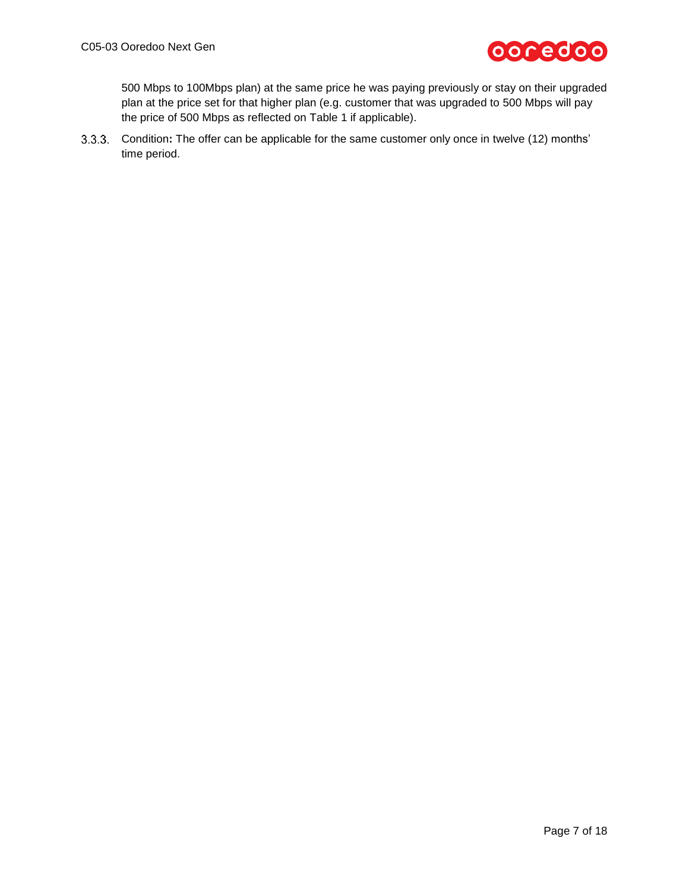

500 Mbps to 100Mbps plan) at the same price he was paying previously or stay on their upgraded plan at the price set for that higher plan (e.g. customer that was upgraded to 500 Mbps will pay the price of 500 Mbps as reflected on Table 1 if applicable).

Condition**:** The offer can be applicable for the same customer only once in twelve (12) months' time period.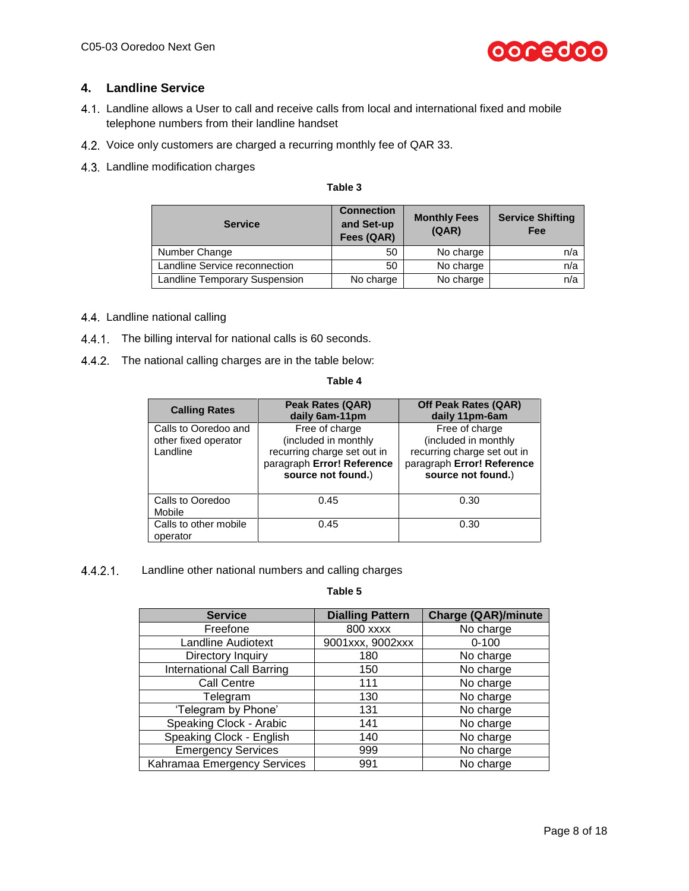

# **4. Landline Service**

- Landline allows a User to call and receive calls from local and international fixed and mobile telephone numbers from their landline handset
- 4.2. Voice only customers are charged a recurring monthly fee of QAR 33.
- 4.3. Landline modification charges

| н |  |
|---|--|
| ۹ |  |

| <b>Service</b>                | <b>Connection</b><br>and Set-up<br>Fees (QAR) | <b>Monthly Fees</b><br>(QAR) | <b>Service Shifting</b><br>Fee |
|-------------------------------|-----------------------------------------------|------------------------------|--------------------------------|
| Number Change                 | 50                                            | No charge                    | n/a                            |
| Landline Service reconnection | 50                                            | No charge                    | n/a                            |
| Landline Temporary Suspension | No charge                                     | No charge                    | n/a                            |

- 4.4. Landline national calling
- 4.4.1 The billing interval for national calls is 60 seconds.
- 4.4.2. The national calling charges are in the table below:

### **Table 4**

| <b>Calling Rates</b>                                     | Peak Rates (QAR)<br>daily 6am-11pm                                                                                        | Off Peak Rates (QAR)<br>daily 11pm-6am                                                                                    |
|----------------------------------------------------------|---------------------------------------------------------------------------------------------------------------------------|---------------------------------------------------------------------------------------------------------------------------|
| Calls to Ooredoo and<br>other fixed operator<br>Landline | Free of charge<br>(included in monthly<br>recurring charge set out in<br>paragraph Error! Reference<br>source not found.) | Free of charge<br>(included in monthly<br>recurring charge set out in<br>paragraph Error! Reference<br>source not found.) |
| Calls to Ooredoo<br>Mobile                               | 0.45                                                                                                                      | 0.30                                                                                                                      |
| Calls to other mobile<br>operator                        | 0.45                                                                                                                      | 0.30                                                                                                                      |

 $4.4.2.1$ Landline other national numbers and calling charges

| <b>Service</b>                    | <b>Dialling Pattern</b> | <b>Charge (QAR)/minute</b> |
|-----------------------------------|-------------------------|----------------------------|
| Freefone                          | <b>800 xxxx</b>         | No charge                  |
| <b>Landline Audiotext</b>         | 9001xxx, 9002xxx        | $0 - 100$                  |
| Directory Inquiry                 | 180                     | No charge                  |
| <b>International Call Barring</b> | 150                     | No charge                  |
| <b>Call Centre</b>                | 111                     | No charge                  |
| Telegram                          | 130                     | No charge                  |
| 'Telegram by Phone'               | 131                     | No charge                  |
| Speaking Clock - Arabic           | 141                     | No charge                  |
| Speaking Clock - English          | 140                     | No charge                  |
| <b>Emergency Services</b>         | 999                     | No charge                  |
| Kahramaa Emergency Services       | 991                     | No charge                  |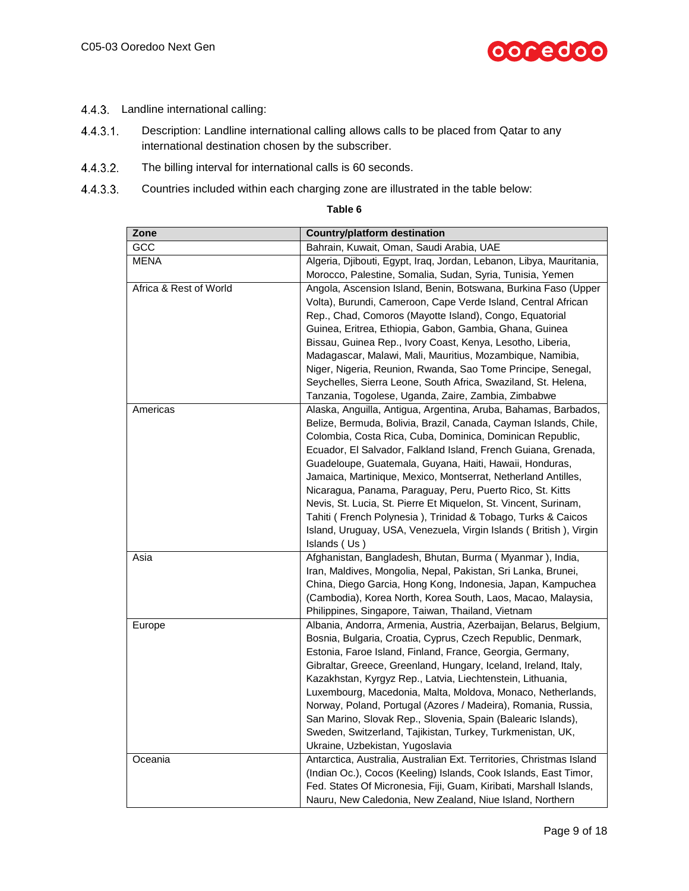

- 4.4.3. Landline international calling:
- $4.4.3.1$ . Description: Landline international calling allows calls to be placed from Qatar to any international destination chosen by the subscriber.
- $4.4.3.2.$ The billing interval for international calls is 60 seconds.
- $4.4.3.3.$ Countries included within each charging zone are illustrated in the table below:

| <b>Country/platform destination</b>                                                                                       |
|---------------------------------------------------------------------------------------------------------------------------|
| Bahrain, Kuwait, Oman, Saudi Arabia, UAE                                                                                  |
| Algeria, Djibouti, Egypt, Iraq, Jordan, Lebanon, Libya, Mauritania,                                                       |
| Morocco, Palestine, Somalia, Sudan, Syria, Tunisia, Yemen                                                                 |
| Angola, Ascension Island, Benin, Botswana, Burkina Faso (Upper                                                            |
| Volta), Burundi, Cameroon, Cape Verde Island, Central African                                                             |
| Rep., Chad, Comoros (Mayotte Island), Congo, Equatorial                                                                   |
| Guinea, Eritrea, Ethiopia, Gabon, Gambia, Ghana, Guinea                                                                   |
| Bissau, Guinea Rep., Ivory Coast, Kenya, Lesotho, Liberia,                                                                |
| Madagascar, Malawi, Mali, Mauritius, Mozambique, Namibia,                                                                 |
| Niger, Nigeria, Reunion, Rwanda, Sao Tome Principe, Senegal,                                                              |
| Seychelles, Sierra Leone, South Africa, Swaziland, St. Helena,                                                            |
| Tanzania, Togolese, Uganda, Zaire, Zambia, Zimbabwe                                                                       |
| Alaska, Anguilla, Antigua, Argentina, Aruba, Bahamas, Barbados,                                                           |
| Belize, Bermuda, Bolivia, Brazil, Canada, Cayman Islands, Chile,                                                          |
| Colombia, Costa Rica, Cuba, Dominica, Dominican Republic,                                                                 |
| Ecuador, El Salvador, Falkland Island, French Guiana, Grenada,                                                            |
| Guadeloupe, Guatemala, Guyana, Haiti, Hawaii, Honduras,                                                                   |
| Jamaica, Martinique, Mexico, Montserrat, Netherland Antilles,                                                             |
| Nicaragua, Panama, Paraguay, Peru, Puerto Rico, St. Kitts                                                                 |
| Nevis, St. Lucia, St. Pierre Et Miquelon, St. Vincent, Surinam,                                                           |
| Tahiti (French Polynesia), Trinidad & Tobago, Turks & Caicos                                                              |
| Island, Uruguay, USA, Venezuela, Virgin Islands (British), Virgin                                                         |
| Islands (Us)                                                                                                              |
| Afghanistan, Bangladesh, Bhutan, Burma (Myanmar), India,                                                                  |
| Iran, Maldives, Mongolia, Nepal, Pakistan, Sri Lanka, Brunei,                                                             |
| China, Diego Garcia, Hong Kong, Indonesia, Japan, Kampuchea                                                               |
| (Cambodia), Korea North, Korea South, Laos, Macao, Malaysia,                                                              |
| Philippines, Singapore, Taiwan, Thailand, Vietnam                                                                         |
| Albania, Andorra, Armenia, Austria, Azerbaijan, Belarus, Belgium,                                                         |
| Bosnia, Bulgaria, Croatia, Cyprus, Czech Republic, Denmark,                                                               |
| Estonia, Faroe Island, Finland, France, Georgia, Germany,                                                                 |
| Gibraltar, Greece, Greenland, Hungary, Iceland, Ireland, Italy,                                                           |
| Kazakhstan, Kyrgyz Rep., Latvia, Liechtenstein, Lithuania,<br>Luxembourg, Macedonia, Malta, Moldova, Monaco, Netherlands, |
| Norway, Poland, Portugal (Azores / Madeira), Romania, Russia,                                                             |
| San Marino, Slovak Rep., Slovenia, Spain (Balearic Islands),                                                              |
| Sweden, Switzerland, Tajikistan, Turkey, Turkmenistan, UK,                                                                |
| Ukraine, Uzbekistan, Yugoslavia                                                                                           |
| Antarctica, Australia, Australian Ext. Territories, Christmas Island                                                      |
| (Indian Oc.), Cocos (Keeling) Islands, Cook Islands, East Timor,                                                          |
| Fed. States Of Micronesia, Fiji, Guam, Kiribati, Marshall Islands,                                                        |
|                                                                                                                           |
|                                                                                                                           |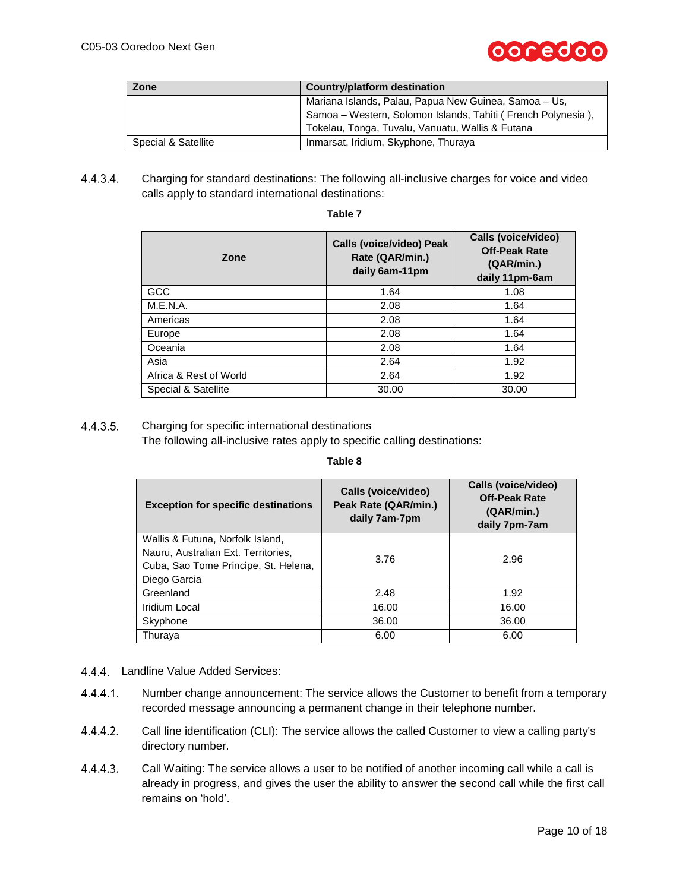

| Zone                | Country/platform destination                                 |
|---------------------|--------------------------------------------------------------|
|                     | Mariana Islands, Palau, Papua New Guinea, Samoa - Us,        |
|                     | Samoa – Western, Solomon Islands, Tahiti (French Polynesia), |
|                     | Tokelau, Tonga, Tuvalu, Vanuatu, Wallis & Futana             |
| Special & Satellite | Inmarsat, Iridium, Skyphone, Thuraya                         |

 $4.4.3.4$ Charging for standard destinations: The following all-inclusive charges for voice and video calls apply to standard international destinations:

| Zone                   | <b>Calls (voice/video) Peak</b><br>Rate (QAR/min.)<br>daily 6am-11pm | Calls (voice/video)<br><b>Off-Peak Rate</b><br>(QAR/min.)<br>daily 11pm-6am |  |
|------------------------|----------------------------------------------------------------------|-----------------------------------------------------------------------------|--|
| GCC                    | 1.64                                                                 | 1.08                                                                        |  |
| M.E.N.A.               | 2.08                                                                 | 1.64                                                                        |  |
| Americas               | 2.08                                                                 | 1.64                                                                        |  |
| Europe                 | 2.08                                                                 | 1.64                                                                        |  |
| Oceania                | 2.08                                                                 | 1.64                                                                        |  |
| Asia                   | 2.64                                                                 | 1.92                                                                        |  |
| Africa & Rest of World | 2.64                                                                 | 1.92                                                                        |  |
| Special & Satellite    | 30.00                                                                | 30.00                                                                       |  |

## **Table 7**

#### $4.4.3.5.$ Charging for specific international destinations

The following all-inclusive rates apply to specific calling destinations:

| <b>Exception for specific destinations</b>                                                                                      | Calls (voice/video)<br>Peak Rate (QAR/min.)<br>daily 7am-7pm | Calls (voice/video)<br><b>Off-Peak Rate</b><br>(QAR/min.)<br>daily 7pm-7am |  |
|---------------------------------------------------------------------------------------------------------------------------------|--------------------------------------------------------------|----------------------------------------------------------------------------|--|
| Wallis & Futuna, Norfolk Island,<br>Nauru, Australian Ext. Territories,<br>Cuba, Sao Tome Principe, St. Helena,<br>Diego Garcia | 3.76                                                         | 2.96                                                                       |  |
| Greenland                                                                                                                       | 2.48                                                         | 1.92                                                                       |  |
| Iridium Local                                                                                                                   | 16.00                                                        | 16.00                                                                      |  |
| Skyphone                                                                                                                        | 36.00                                                        | 36.00                                                                      |  |
| Thuraya                                                                                                                         | 6.00                                                         | 6.00                                                                       |  |

- 4.4.4. Landline Value Added Services:
- 4.4.4.1 Number change announcement: The service allows the Customer to benefit from a temporary recorded message announcing a permanent change in their telephone number.
- $4.4.4.2.$ Call line identification (CLI): The service allows the called Customer to view a calling party's directory number.
- $4.4.4.3.$ Call Waiting: The service allows a user to be notified of another incoming call while a call is already in progress, and gives the user the ability to answer the second call while the first call remains on 'hold'.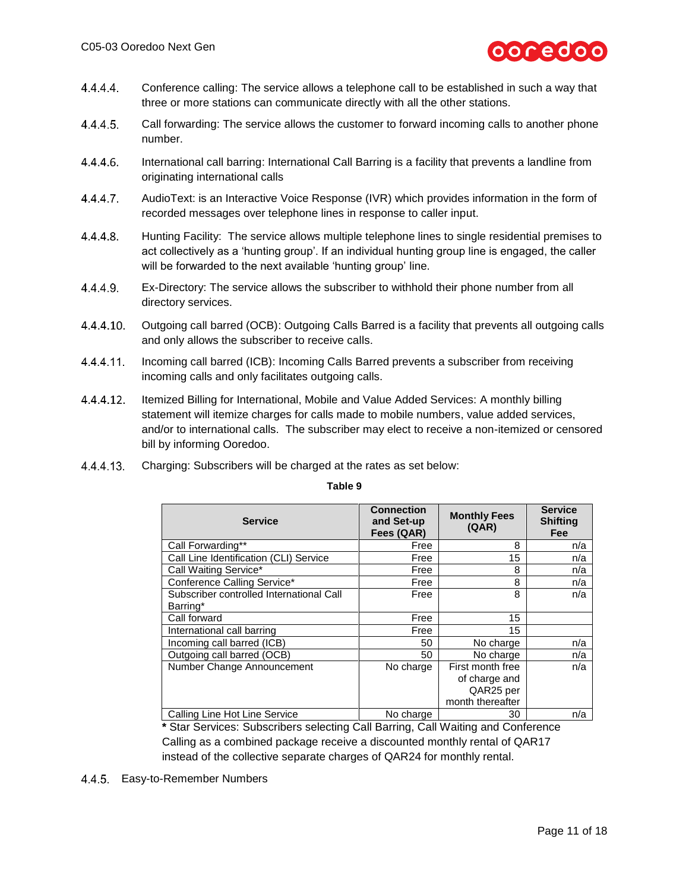

- 4.4.4.4 Conference calling: The service allows a telephone call to be established in such a way that three or more stations can communicate directly with all the other stations.
- 4.4.4.5. Call forwarding: The service allows the customer to forward incoming calls to another phone number.
- 4.4.4.6. International call barring: International Call Barring is a facility that prevents a landline from originating international calls
- 4.4.4.7 AudioText: is an Interactive Voice Response (IVR) which provides information in the form of recorded messages over telephone lines in response to caller input.
- $4.4.4.8.$ Hunting Facility: The service allows multiple telephone lines to single residential premises to act collectively as a 'hunting group'. If an individual hunting group line is engaged, the caller will be forwarded to the next available 'hunting group' line.
- $4.4.4.9.$ Ex-Directory: The service allows the subscriber to withhold their phone number from all directory services.
- $4.4.4.10.$ Outgoing call barred (OCB): Outgoing Calls Barred is a facility that prevents all outgoing calls and only allows the subscriber to receive calls.
- 4.4.4.11 Incoming call barred (ICB): Incoming Calls Barred prevents a subscriber from receiving incoming calls and only facilitates outgoing calls.
- $4.4.4.12.$ Itemized Billing for International, Mobile and Value Added Services: A monthly billing statement will itemize charges for calls made to mobile numbers, value added services, and/or to international calls. The subscriber may elect to receive a non-itemized or censored bill by informing Ooredoo.
- 4.4.4.13 Charging: Subscribers will be charged at the rates as set below:

| <b>Service</b>                           | <b>Connection</b><br>and Set-up<br>Fees (QAR) | <b>Monthly Fees</b><br>(AAR) | <b>Service</b><br><b>Shifting</b><br><b>Fee</b> |
|------------------------------------------|-----------------------------------------------|------------------------------|-------------------------------------------------|
| Call Forwarding**                        | Free                                          | 8                            | n/a                                             |
| Call Line Identification (CLI) Service   | Free                                          | 15                           | n/a                                             |
| Call Waiting Service*                    | Free                                          | 8                            | n/a                                             |
| Conference Calling Service*              | Free                                          | 8                            | n/a                                             |
| Subscriber controlled International Call | Free                                          | 8                            | n/a                                             |
| Barring*                                 |                                               |                              |                                                 |
| Call forward                             | Free                                          | 15                           |                                                 |
| International call barring               | Free                                          | 15                           |                                                 |
| Incoming call barred (ICB)               | 50                                            | No charge                    | n/a                                             |
| Outgoing call barred (OCB)               | 50                                            | No charge                    | n/a                                             |
| Number Change Announcement               | No charge                                     | First month free             | n/a                                             |
|                                          |                                               | of charge and                |                                                 |
|                                          |                                               | QAR25 per                    |                                                 |
|                                          |                                               | month thereafter             |                                                 |
| Calling Line Hot Line Service            | No charge                                     | 30                           | n/a                                             |

**Table 9**

**\*** Star Services: Subscribers selecting Call Barring, Call Waiting and Conference Calling as a combined package receive a discounted monthly rental of QAR17 instead of the collective separate charges of QAR24 for monthly rental.

4.4.5. Easy-to-Remember Numbers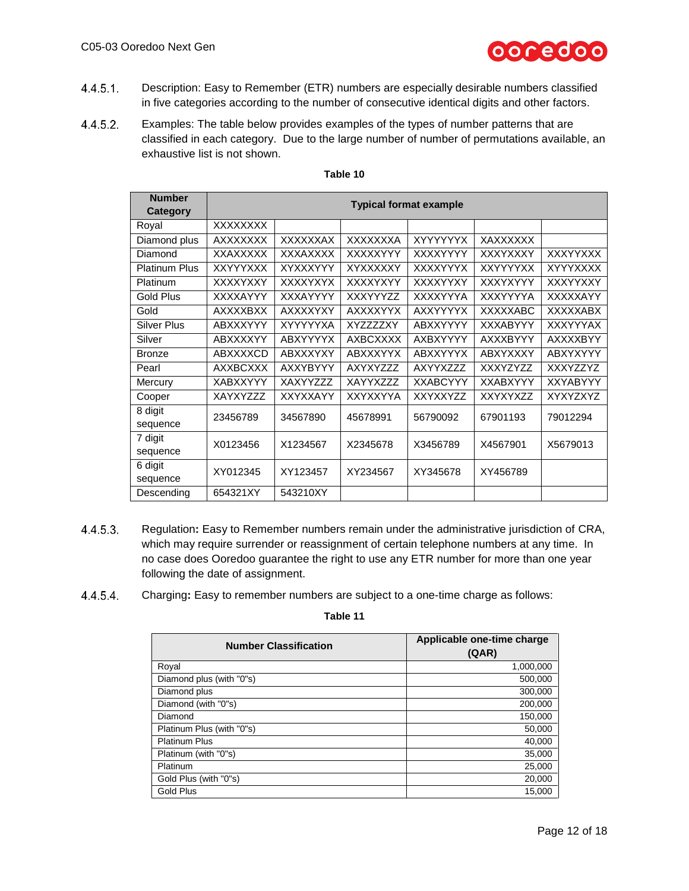

- $4.4.5.1.$ Description: Easy to Remember (ETR) numbers are especially desirable numbers classified in five categories according to the number of consecutive identical digits and other factors.
- $4.4.5.2.$ Examples: The table below provides examples of the types of number patterns that are classified in each category. Due to the large number of number of permutations available, an exhaustive list is not shown.

| <b>Number</b><br>Category | <b>Typical format example</b> |                 |                 |                 |                 |                 |
|---------------------------|-------------------------------|-----------------|-----------------|-----------------|-----------------|-----------------|
| Royal                     | XXXXXXXX                      |                 |                 |                 |                 |                 |
| Diamond plus              | <b>AXXXXXXX</b>               | <b>XXXXXXAX</b> | <b>XXXXXXXA</b> | <b>XYYYYYYX</b> | XAXXXXXX        |                 |
| Diamond                   | XXAXXXXX                      | <b>XXXAXXXX</b> | XXXXXYYY        | XXXXYYYY        | XXXYXXXY        | <b>XXXYYXXX</b> |
| <b>Platinum Plus</b>      | <b>XXYYYXXX</b>               | XYXXXYYY        | XYXXXXXY        | <b>XXXXYYYX</b> | <b>XXYYYYXX</b> | <b>XYYYXXXX</b> |
| Platinum                  | <b>XXXXYXXY</b>               | <b>XXXXYXYX</b> | XXXXYXYY        | XXXXYYXY        | XXXYXYYY        | XXXYYXXY        |
| Gold Plus                 | XXXXAYYY                      | <b>XXXAYYYY</b> | XXXYYY77        | XXXXYYYA        | XXXYYYYA        | XXXXXAYY        |
| Gold                      | <b>AXXXXBXX</b>               | <b>AXXXXYXY</b> | <b>AXXXXYYX</b> | <b>AXXYYYYX</b> | <b>XXXXXABC</b> | <b>XXXXXABX</b> |
| <b>Silver Plus</b>        | ABXXXYYY                      | <b>XYYYYYXA</b> | XYZZZZXY        | ABXXYYYY        | <b>XXXABYYY</b> | <b>XXXYYYAX</b> |
| Silver                    | <b>ABXXXXYY</b>               | <b>ABXYYYYX</b> | <b>AXBCXXXX</b> | AXBXYYYY        | <b>AXXXBYYY</b> | <b>AXXXXBYY</b> |
| <b>Bronze</b>             | <b>ABXXXXCD</b>               | <b>ABXXXYXY</b> | <b>ABXXXYYX</b> | <b>ABXXYYYX</b> | <b>ABXYXXXY</b> | ABXYXYYY        |
| Pearl                     | <b>AXXBCXXX</b>               | <b>AXXYBYYY</b> | AXYXYZZZ        | AXYYXZZZ        | <b>XXXYZYZZ</b> | XXXYZZYZ        |
| Mercury                   | <b>XABXXYYY</b>               | XAXYYZZZ        | XAYYXZZZ        | <b>XXABCYYY</b> | <b>XXABXYYY</b> | <b>XXYABYYY</b> |
| Cooper                    | XAYXYZZZ                      | XXYXXAYY        | XXYXXYYA        | <b>XXYXXYZZ</b> | XXYXYXZZ        | XYXYZXYZ        |
| 8 digit                   | 23456789                      | 34567890        | 45678991        | 56790092        | 67901193        | 79012294        |
| sequence                  |                               |                 |                 |                 |                 |                 |
| 7 digit                   | X0123456                      | X1234567        | X2345678        | X3456789        | X4567901        | X5679013        |
| sequence                  |                               |                 |                 |                 |                 |                 |
| 6 digit                   | XY012345                      | XY123457        | XY234567        | XY345678        | XY456789        |                 |
| sequence                  |                               |                 |                 |                 |                 |                 |
| Descending                | 654321XY                      | 543210XY        |                 |                 |                 |                 |

# **Table 10**

- 4.4.5.3. Regulation**:** Easy to Remember numbers remain under the administrative jurisdiction of CRA, which may require surrender or reassignment of certain telephone numbers at any time. In no case does Ooredoo guarantee the right to use any ETR number for more than one year following the date of assignment.
- 4.4.5.4. Charging**:** Easy to remember numbers are subject to a one-time charge as follows:

| <b>Number Classification</b> | Applicable one-time charge<br>(QAR) |
|------------------------------|-------------------------------------|
| Royal                        | 1,000,000                           |
| Diamond plus (with "0"s)     | 500,000                             |
| Diamond plus                 | 300,000                             |
| Diamond (with "0"s)          | 200,000                             |
| Diamond                      | 150,000                             |
| Platinum Plus (with "0"s)    | 50,000                              |
| <b>Platinum Plus</b>         | 40,000                              |
| Platinum (with "0"s)         | 35,000                              |
| Platinum                     | 25,000                              |
| Gold Plus (with "0"s)        | 20,000                              |
| <b>Gold Plus</b>             | 15,000                              |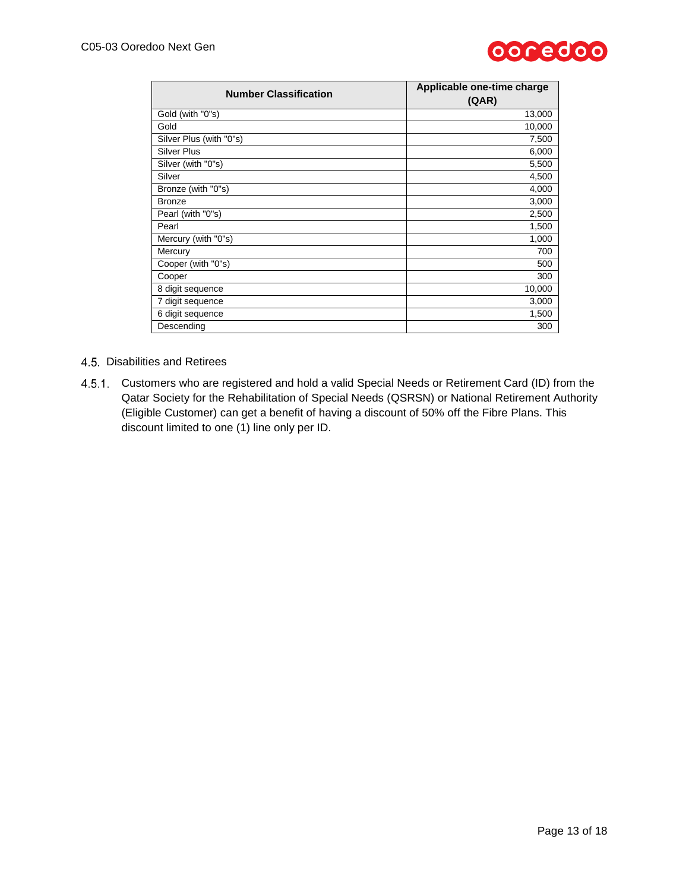

| <b>Number Classification</b> | Applicable one-time charge<br>(QAR) |
|------------------------------|-------------------------------------|
| Gold (with "0"s)             | 13,000                              |
| Gold                         | 10,000                              |
| Silver Plus (with "0"s)      | 7,500                               |
| <b>Silver Plus</b>           | 6,000                               |
| Silver (with "0"s)           | 5,500                               |
| Silver                       | 4,500                               |
| Bronze (with "0"s)           | 4,000                               |
| <b>Bronze</b>                | 3,000                               |
| Pearl (with "0"s)            | 2,500                               |
| Pearl                        | 1,500                               |
| Mercury (with "0"s)          | 1,000                               |
| Mercury                      | 700                                 |
| Cooper (with "0"s)           | 500                                 |
| Cooper                       | 300                                 |
| 8 digit sequence             | 10,000                              |
| 7 digit sequence             | 3,000                               |
| 6 digit sequence             | 1,500                               |
| Descending                   | 300                                 |

### 4.5. Disabilities and Retirees

4.5.1. Customers who are registered and hold a valid Special Needs or Retirement Card (ID) from the Qatar Society for the Rehabilitation of Special Needs (QSRSN) or National Retirement Authority (Eligible Customer) can get a benefit of having a discount of 50% off the Fibre Plans. This discount limited to one (1) line only per ID.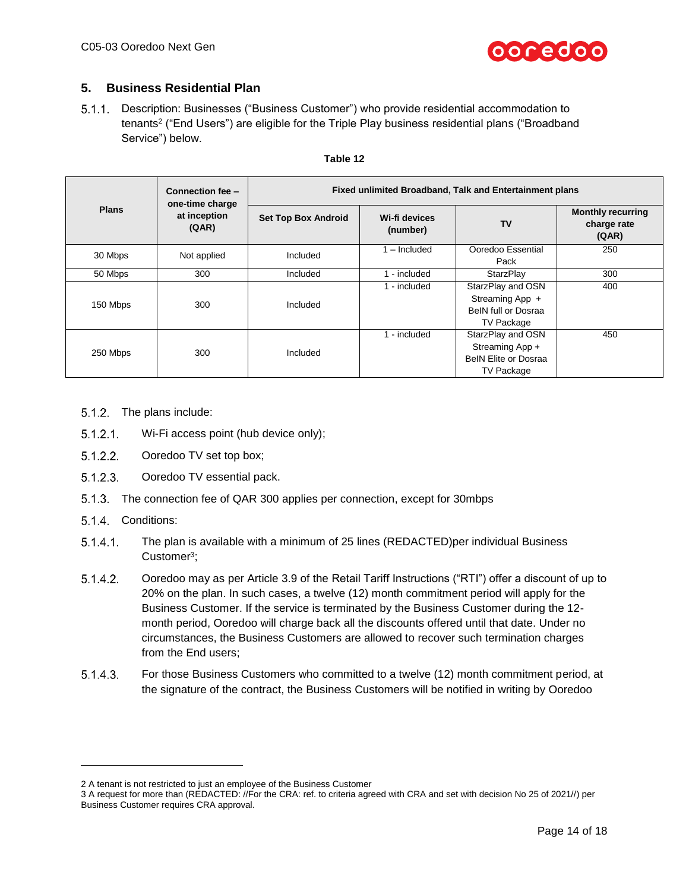

# **5. Business Residential Plan**

Description: Businesses ("Business Customer") who provide residential accommodation to tenants<sup>2</sup> ("End Users") are eligible for the Triple Play business residential plans ("Broadband Service") below.

|              | Connection fee -<br>one-time charge | Fixed unlimited Broadband, Talk and Entertainment plans |                           |                                                                                          |                                                  |  |
|--------------|-------------------------------------|---------------------------------------------------------|---------------------------|------------------------------------------------------------------------------------------|--------------------------------------------------|--|
| <b>Plans</b> | at inception<br>(QAR)               | <b>Set Top Box Android</b>                              | Wi-fi devices<br>(number) | <b>TV</b>                                                                                | <b>Monthly recurring</b><br>charge rate<br>(QAR) |  |
| 30 Mbps      | Not applied                         | Included                                                | $1 -$ Included            | Ooredoo Essential<br>Pack                                                                | 250                                              |  |
| 50 Mbps      | 300                                 | Included                                                | 1 - included              | StarzPlay                                                                                | 300                                              |  |
| 150 Mbps     | 300                                 | Included                                                | 1 - included              | StarzPlay and OSN<br>Streaming App +<br>BeIN full or Dosraa<br>TV Package                | 400                                              |  |
| 250 Mbps     | 300                                 | Included                                                | 1 - included              | StarzPlay and OSN<br>Streaming App +<br><b>BeIN Elite or Dosraa</b><br><b>TV Package</b> | 450                                              |  |

### **Table 12**

- 5.1.2. The plans include:
- $5.1.2.1$ Wi-Fi access point (hub device only);
- $5.1.2.2.$ Ooredoo TV set top box;
- $5.1.2.3.$ Ooredoo TV essential pack.
- 5.1.3. The connection fee of QAR 300 applies per connection, except for 30mbps
- 5.1.4. Conditions:

l

- $5.1.4.1$ . The plan is available with a minimum of 25 lines (REDACTED)per individual Business Customer<sup>3</sup>;
- $5.1.4.2.$ Ooredoo may as per Article 3.9 of the Retail Tariff Instructions ("RTI") offer a discount of up to 20% on the plan. In such cases, a twelve (12) month commitment period will apply for the Business Customer. If the service is terminated by the Business Customer during the 12 month period, Ooredoo will charge back all the discounts offered until that date. Under no circumstances, the Business Customers are allowed to recover such termination charges from the End users;
- $5.1.4.3.$ For those Business Customers who committed to a twelve (12) month commitment period, at the signature of the contract, the Business Customers will be notified in writing by Ooredoo

<sup>2</sup> A tenant is not restricted to just an employee of the Business Customer

<sup>3</sup> A request for more than (REDACTED: //For the CRA: ref. to criteria agreed with CRA and set with decision No 25 of 2021//) per Business Customer requires CRA approval.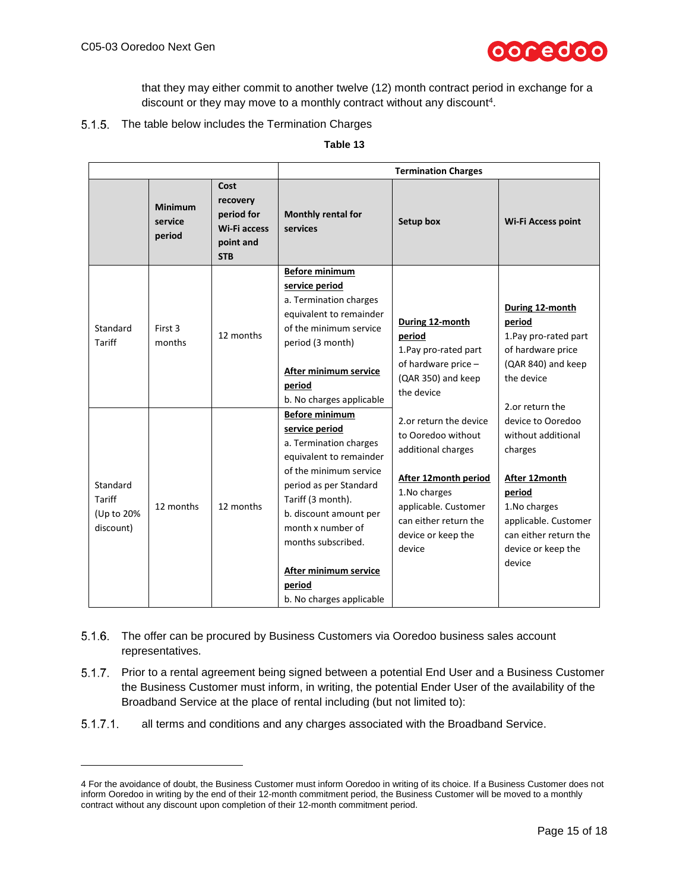l



that they may either commit to another twelve (12) month contract period in exchange for a discount or they may move to a monthly contract without any discount<sup>4</sup>.

# 5.1.5. The table below includes the Termination Charges

| `able |  |
|-------|--|
|-------|--|

|                                               |                                     |                                                                                  | <b>Termination Charges</b>                                                                                                                                                                                                                                                              |                                                                                                                                                                                                    |                                                                                                                                                                                                                                                                                                                   |
|-----------------------------------------------|-------------------------------------|----------------------------------------------------------------------------------|-----------------------------------------------------------------------------------------------------------------------------------------------------------------------------------------------------------------------------------------------------------------------------------------|----------------------------------------------------------------------------------------------------------------------------------------------------------------------------------------------------|-------------------------------------------------------------------------------------------------------------------------------------------------------------------------------------------------------------------------------------------------------------------------------------------------------------------|
|                                               | <b>Minimum</b><br>service<br>period | Cost<br>recovery<br>period for<br><b>Wi-Fi access</b><br>point and<br><b>STB</b> | Monthly rental for<br>services                                                                                                                                                                                                                                                          | <b>Setup box</b>                                                                                                                                                                                   | <b>Wi-Fi Access point</b>                                                                                                                                                                                                                                                                                         |
| Standard<br><b>Tariff</b>                     | First 3<br>months                   | 12 months                                                                        | <b>Before minimum</b><br>service period<br>a. Termination charges<br>equivalent to remainder<br>of the minimum service<br>period (3 month)<br>After minimum service<br>period<br>b. No charges applicable<br><b>Before minimum</b>                                                      | During 12-month<br>period<br>1. Pay pro-rated part<br>of hardware price -<br>(QAR 350) and keep<br>the device                                                                                      | During 12-month<br>period<br>1. Pay pro-rated part<br>of hardware price<br>(QAR 840) and keep<br>the device<br>2.or return the<br>device to Ooredoo<br>without additional<br>charges<br>After 12month<br>period<br>1. No charges<br>applicable. Customer<br>can either return the<br>device or keep the<br>device |
| Standard<br>Tariff<br>(Up to 20%<br>discount) | 12 months                           | 12 months                                                                        | service period<br>a. Termination charges<br>equivalent to remainder<br>of the minimum service<br>period as per Standard<br>Tariff (3 month).<br>b. discount amount per<br>month x number of<br>months subscribed.<br><b>After minimum service</b><br>period<br>b. No charges applicable | 2.or return the device<br>to Ooredoo without<br>additional charges<br><b>After 12month period</b><br>1.No charges<br>applicable. Customer<br>can either return the<br>device or keep the<br>device |                                                                                                                                                                                                                                                                                                                   |

- 5.1.6. The offer can be procured by Business Customers via Ooredoo business sales account representatives.
- 5.1.7. Prior to a rental agreement being signed between a potential End User and a Business Customer the Business Customer must inform, in writing, the potential Ender User of the availability of the Broadband Service at the place of rental including (but not limited to):
- $5.1.7.1$ . all terms and conditions and any charges associated with the Broadband Service.

<sup>4</sup> For the avoidance of doubt, the Business Customer must inform Ooredoo in writing of its choice. If a Business Customer does not inform Ooredoo in writing by the end of their 12-month commitment period, the Business Customer will be moved to a monthly contract without any discount upon completion of their 12-month commitment period.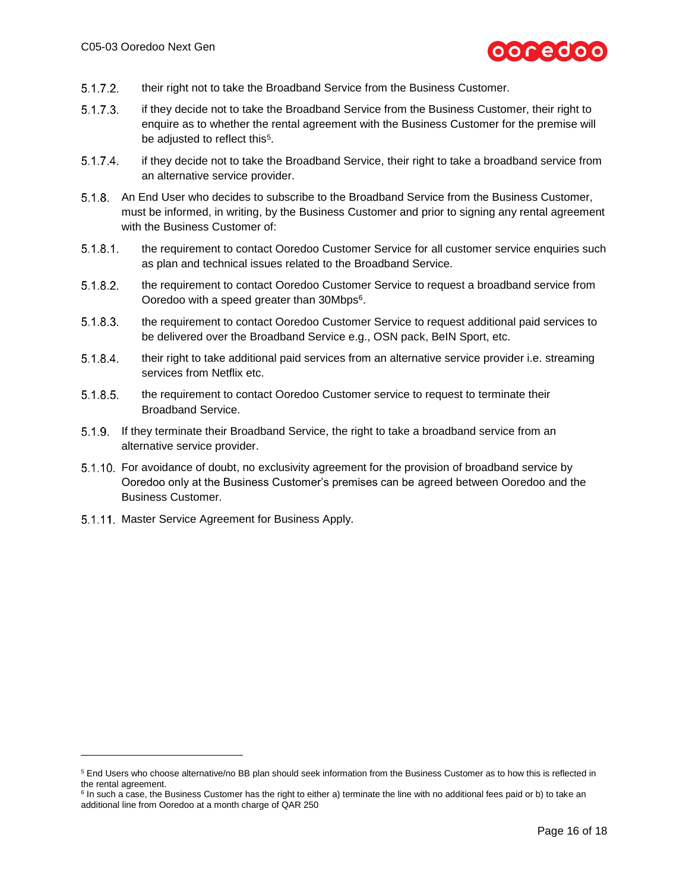

- $5.1.7.2.$ their right not to take the Broadband Service from the Business Customer.
- $5.1.7.3.$ if they decide not to take the Broadband Service from the Business Customer, their right to enquire as to whether the rental agreement with the Business Customer for the premise will be adjusted to reflect this<sup>5</sup>.
- $5.1.7.4$ if they decide not to take the Broadband Service, their right to take a broadband service from an alternative service provider.
- 5.1.8. An End User who decides to subscribe to the Broadband Service from the Business Customer, must be informed, in writing, by the Business Customer and prior to signing any rental agreement with the Business Customer of:
- $5.1.8.1$ . the requirement to contact Ooredoo Customer Service for all customer service enquiries such as plan and technical issues related to the Broadband Service.
- $5.1.8.2.$ the requirement to contact Ooredoo Customer Service to request a broadband service from Ooredoo with a speed greater than 30Mbps<sup>6</sup>.
- $5.1.8.3.$ the requirement to contact Ooredoo Customer Service to request additional paid services to be delivered over the Broadband Service e.g., OSN pack, BeIN Sport, etc.
- 5.1.8.4. their right to take additional paid services from an alternative service provider i.e. streaming services from Netflix etc.
- $5.1.8.5.$ the requirement to contact Ooredoo Customer service to request to terminate their Broadband Service.
- If they terminate their Broadband Service, the right to take a broadband service from an alternative service provider.
- For avoidance of doubt, no exclusivity agreement for the provision of broadband service by Ooredoo only at the Business Customer's premises can be agreed between Ooredoo and the Business Customer.
- 5.1.11. Master Service Agreement for Business Apply.

l

<sup>5</sup> End Users who choose alternative/no BB plan should seek information from the Business Customer as to how this is reflected in the rental agreement.

<sup>&</sup>lt;sup>6</sup> In such a case, the Business Customer has the right to either a) terminate the line with no additional fees paid or b) to take an additional line from Ooredoo at a month charge of QAR 250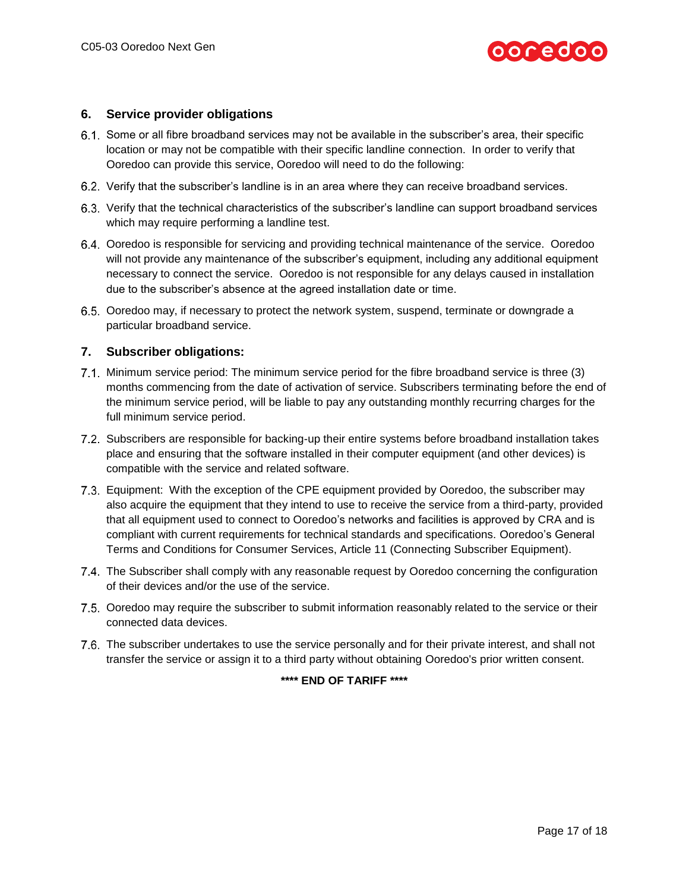

# **6. Service provider obligations**

- Some or all fibre broadband services may not be available in the subscriber's area, their specific location or may not be compatible with their specific landline connection. In order to verify that Ooredoo can provide this service, Ooredoo will need to do the following:
- 6.2. Verify that the subscriber's landline is in an area where they can receive broadband services.
- Verify that the technical characteristics of the subscriber's landline can support broadband services which may require performing a landline test.
- Ooredoo is responsible for servicing and providing technical maintenance of the service. Ooredoo will not provide any maintenance of the subscriber's equipment, including any additional equipment necessary to connect the service. Ooredoo is not responsible for any delays caused in installation due to the subscriber's absence at the agreed installation date or time.
- 6.5. Ooredoo may, if necessary to protect the network system, suspend, terminate or downgrade a particular broadband service.

### **7. Subscriber obligations:**

- 7.1. Minimum service period: The minimum service period for the fibre broadband service is three (3) months commencing from the date of activation of service. Subscribers terminating before the end of the minimum service period, will be liable to pay any outstanding monthly recurring charges for the full minimum service period.
- 7.2. Subscribers are responsible for backing-up their entire systems before broadband installation takes place and ensuring that the software installed in their computer equipment (and other devices) is compatible with the service and related software.
- Equipment: With the exception of the CPE equipment provided by Ooredoo, the subscriber may also acquire the equipment that they intend to use to receive the service from a third-party, provided that all equipment used to connect to Ooredoo's networks and facilities is approved by CRA and is compliant with current requirements for technical standards and specifications. Ooredoo's General Terms and Conditions for Consumer Services, Article 11 (Connecting Subscriber Equipment).
- 7.4. The Subscriber shall comply with any reasonable request by Ooredoo concerning the configuration of their devices and/or the use of the service.
- 7.5. Ooredoo may require the subscriber to submit information reasonably related to the service or their connected data devices.
- 7.6. The subscriber undertakes to use the service personally and for their private interest, and shall not transfer the service or assign it to a third party without obtaining Ooredoo's prior written consent.

# **\*\*\*\* END OF TARIFF \*\*\*\***